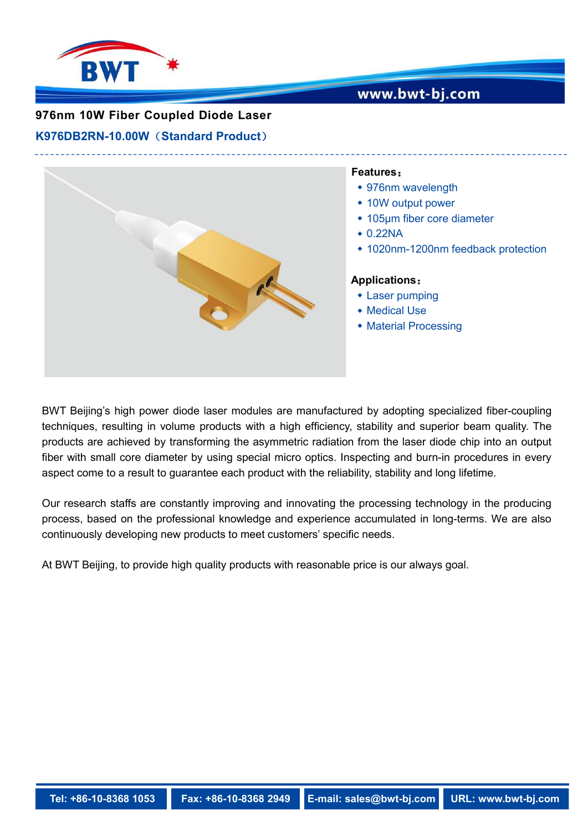

## www.bwt-bj.com

### **976nm 10W Fiber Coupled Diode Laser**

#### **K976DB2RN-10.00W**(**Standard Product**)



BWT Beijing's high power diode laser modules are manufactured by adopting specialized fiber-coupling techniques, resulting in volume products with a high efficiency, stability and superior beam quality. The products are achieved by transforming the asymmetric radiation from the laser diode chip into an output fiber with small core diameter by using special micro optics. Inspecting and burn-in procedures in every aspect come to a result to guarantee each product with the reliability, stability and long lifetime.

Our research staffs are constantly improving and innovating the processing technology in the producing process, based on the professional knowledge and experience accumulated in long-terms. We are also continuously developing new products to meet customers' specific needs.

At BWT Beijing, to provide high quality products with reasonable price is our always goal.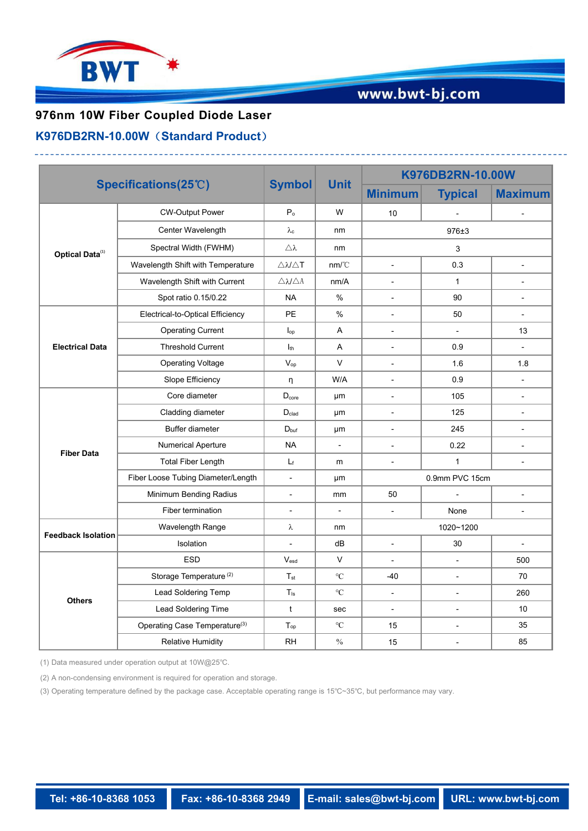

# www.bwt-bj.com

## **976nm 10W Fiber Coupled Diode Laser**

#### **K976DB2RN-10.00W**(**Standard Product**)

| Specifications(25°C)      |                                    | <b>Symbol</b>                                | <b>Unit</b>          | K976DB2RN-10.00W         |                             |                          |
|---------------------------|------------------------------------|----------------------------------------------|----------------------|--------------------------|-----------------------------|--------------------------|
|                           |                                    |                                              |                      | <b>Minimum</b>           | <b>Typical</b>              | <b>Maximum</b>           |
| Optical Data(1)           | <b>CW-Output Power</b>             | P <sub>o</sub>                               | W                    | $10\,$                   | $\blacksquare$              | $\blacksquare$           |
|                           | Center Wavelength                  | $\lambda_{\rm c}$                            | nm                   | $976 + 3$                |                             |                          |
|                           | Spectral Width (FWHM)              | Δλ                                           | nm                   | 3                        |                             |                          |
|                           | Wavelength Shift with Temperature  | $\triangle \mathcal{N} \triangle \mathsf{T}$ | nm/C                 | $\overline{\phantom{a}}$ | 0.3                         | $\overline{\phantom{a}}$ |
|                           | Wavelength Shift with Current      | $\triangle \lambda/\triangle A$              | nm/A                 | $\blacksquare$           | $\mathbf{1}$                | $\overline{\phantom{a}}$ |
|                           | Spot ratio 0.15/0.22               | <b>NA</b>                                    | $\%$                 | $\overline{\phantom{a}}$ | 90                          | $\overline{\phantom{a}}$ |
| <b>Electrical Data</b>    | Electrical-to-Optical Efficiency   | PE                                           | $\%$                 | $\overline{\phantom{0}}$ | 50                          | $\overline{\phantom{a}}$ |
|                           | <b>Operating Current</b>           | $\mathsf{I}_{\mathsf{op}}$                   | A                    | $\overline{\phantom{a}}$ | $\mathcal{L}_{\mathcal{A}}$ | 13                       |
|                           | <b>Threshold Current</b>           | $I_{th}$                                     | Α                    | $\blacksquare$           | 0.9                         | $\overline{\phantom{a}}$ |
|                           | <b>Operating Voltage</b>           | $V_{op}$                                     | $\vee$               | $\overline{\phantom{a}}$ | 1.6                         | 1.8                      |
|                           | Slope Efficiency                   | n                                            | W/A                  | $\overline{\phantom{a}}$ | 0.9                         | $\overline{\phantom{a}}$ |
| <b>Fiber Data</b>         | Core diameter                      | $D_{core}$                                   | μm                   | $\overline{\phantom{a}}$ | 105                         | $\overline{\phantom{a}}$ |
|                           | Cladding diameter                  | $D_{\text{clad}}$                            | μm                   | $\overline{\phantom{a}}$ | 125                         | $\overline{\phantom{a}}$ |
|                           | Buffer diameter                    | $D_{\text{buf}}$                             | μm                   | $\overline{\phantom{a}}$ | 245                         | $\overline{\phantom{a}}$ |
|                           | <b>Numerical Aperture</b>          | <b>NA</b>                                    | L.                   | $\overline{a}$           | 0.22                        | $\overline{\phantom{a}}$ |
|                           | <b>Total Fiber Length</b>          | $\mathsf{L}_\mathsf{f}$                      | m                    | $\overline{a}$           | $\mathbf{1}$                | $\overline{\phantom{a}}$ |
|                           | Fiber Loose Tubing Diameter/Length | $\blacksquare$                               | μm                   | 0.9mm PVC 15cm           |                             |                          |
|                           | Minimum Bending Radius             | $\overline{\phantom{a}}$                     | mm                   | 50                       |                             | $\overline{\phantom{a}}$ |
|                           | Fiber termination                  | $\overline{\phantom{a}}$                     | ÷,                   | $\overline{a}$           | None                        | $\blacksquare$           |
| <b>Feedback Isolation</b> | Wavelength Range                   | $\lambda$                                    | nm                   | 1020~1200                |                             |                          |
|                           | Isolation                          | $\blacksquare$                               | dB                   | $\overline{\phantom{a}}$ | 30                          | $\overline{\phantom{a}}$ |
| <b>Others</b>             | <b>ESD</b>                         | $V_{\text{esd}}$                             | $\vee$               | ÷,                       | $\sim$                      | 500                      |
|                           | Storage Temperature <sup>(2)</sup> | $T_{\rm st}$                                 | $\rm ^{\circ}C$      | $-40$                    | $\sim$                      | 70                       |
|                           | Lead Soldering Temp                | $T_{ls}$                                     | $^{\circ}\mathrm{C}$ | $\overline{\phantom{a}}$ | $\sim$                      | 260                      |
|                           | Lead Soldering Time                | t                                            | sec                  | $\overline{\phantom{a}}$ | $\overline{\phantom{a}}$    | 10                       |
|                           | Operating Case Temperature(3)      | $T_{op}$                                     | $\rm ^{\circ}C$      | 15                       | $\sim$                      | 35                       |
|                           | <b>Relative Humidity</b>           | <b>RH</b>                                    | $\%$                 | 15                       | $\blacksquare$              | 85                       |

(1) Data measured under operation output at 10W@25℃.

(2) A non-condensing environment is required for operation and storage.

(3) Operating temperature defined by the package case. Acceptable operating range is 15℃~35℃, but performance may vary.